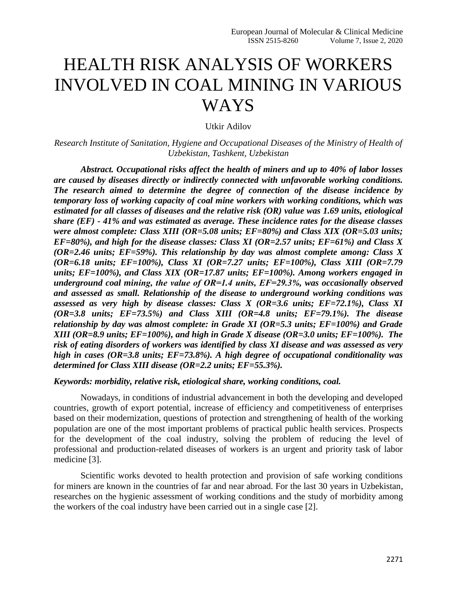## HEALTH RISK ANALYSIS OF WORKERS INVOLVED IN COAL MINING IN VARIOUS WAYS

Utkir Adilov

*Research Institute of Sanitation, Hygiene and Occupational Diseases of the Ministry of Health of Uzbekistan, Tashkent, Uzbekistan*

*Abstract. Occupational risks affect the health of miners and up to 40% of labor losses are caused by diseases directly or indirectly connected with unfavorable working conditions. The research aimed to determine the degree of connection of the disease incidence by temporary loss of working capacity of coal mine workers with working conditions, which was estimated for all classes of diseases and the relative risk (OR) value was 1.69 units, etiological share (EF) - 41% and was estimated as average. These incidence rates for the disease classes were almost complete: Class XIII (OR=5.08 units; EF=80%) and Class XIX (OR=5.03 units; EF=80%), and high for the disease classes: Class XI (OR=2.57 units; EF=61%) and Class X (OR=2.46 units; EF=59%). This relationship by day was almost complete among: Class X (OR=6.18 units; EF=100%), Class XI (OR=7.27 units; EF=100%), Class XIII (OR=7.79 units; EF=100%), and Class XIX (OR=17.87 units; EF=100%). Among workers engaged in underground coal mining, the value of ОR=1.4 units, EF=29.3%, was occasionally observed and assessed as small. Relationship of the disease to underground working conditions was assessed as very high by disease classes: Class X (OR=3.6 units; EF=72.1%), Class XI (OR=3.8 units; EF=73.5%) and Class XIII (OR=4.8 units; EF=79.1%). The disease relationship by day was almost complete: in Grade XI (OR=5.3 units; EF=100%) and Grade XIII (OR=8.9 units; EF=100%), and high in Grade X disease (OR=3.0 units; EF=100%). The risk of eating disorders of workers was identified by class XI disease and was assessed as very high in cases (OR=3.8 units; EF=73.8%). A high degree of occupational conditionality was determined for Class XIII disease (OR=2.2 units; EF=55.3%).*

## *Keywords: morbidity, relative risk, etiological share, working conditions, coal.*

Nowadays, in conditions of industrial advancement in both the developing and developed countries, growth of export potential, increase of efficiency and competitiveness of enterprises based on their modernization, questions of protection and strengthening of health of the working population are one of the most important problems of practical public health services. Prospects for the development of the coal industry, solving the problem of reducing the level of professional and production-related diseases of workers is an urgent and priority task of labor medicine [3].

Scientific works devoted to health protection and provision of safe working conditions for miners are known in the countries of far and near abroad. For the last 30 years in Uzbekistan, researches on the hygienic assessment of working conditions and the study of morbidity among the workers of the coal industry have been carried out in a single case [2].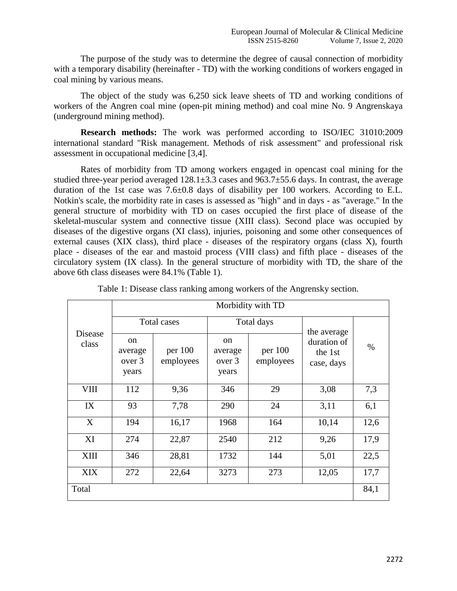The purpose of the study was to determine the degree of causal connection of morbidity with a temporary disability (hereinafter - TD) with the working conditions of workers engaged in coal mining by various means.

The object of the study was 6,250 sick leave sheets of TD and working conditions of workers of the Angren coal mine (open-pit mining method) and coal mine No. 9 Angrenskaya (underground mining method).

**Research methods:** The work was performed according to ISO/IEC 31010:2009 international standard "Risk management. Methods of risk assessment" and professional risk assessment in occupational medicine [3,4].

Rates of morbidity from TD among workers engaged in opencast coal mining for the studied three-year period averaged  $128.1 \pm 3.3$  cases and  $963.7 \pm 55.6$  days. In contrast, the average duration of the 1st case was 7.6±0.8 days of disability per 100 workers. According to E.L. Notkin's scale, the morbidity rate in cases is assessed as "high" and in days - as "average." In the general structure of morbidity with TD on cases occupied the first place of disease of the skeletal-muscular system and connective tissue (XIII class). Second place was occupied by diseases of the digestive organs (XI class), injuries, poisoning and some other consequences of external causes (XIX class), third place - diseases of the respiratory organs (class X), fourth place - diseases of the ear and mastoid process (VIII class) and fifth place - diseases of the circulatory system (IX class). In the general structure of morbidity with TD, the share of the above 6th class diseases were 84.1% (Table 1).

| Disease<br>class | Morbidity with TD                           |                      |                                             |                      |                                      |      |  |  |
|------------------|---------------------------------------------|----------------------|---------------------------------------------|----------------------|--------------------------------------|------|--|--|
|                  | Total cases                                 |                      |                                             | Total days           | the average                          |      |  |  |
|                  | <sub>on</sub><br>average<br>over 3<br>years | per 100<br>employees | <sub>on</sub><br>average<br>over 3<br>years | per 100<br>employees | duration of<br>the 1st<br>case, days | $\%$ |  |  |
| <b>VIII</b>      | 112                                         | 9,36                 | 346                                         | 29                   | 3,08                                 | 7,3  |  |  |
| IX               | 93                                          | 7,78                 | 290                                         | 24                   | 3,11                                 | 6,1  |  |  |
| X                | 194                                         | 16,17                | 1968                                        | 164                  | 10,14                                | 12,6 |  |  |
| XI               | 274                                         | 22,87                | 2540                                        | 212                  | 9,26                                 | 17,9 |  |  |
| XIII             | 346                                         | 28,81                | 1732                                        | 144                  | 5,01                                 | 22,5 |  |  |
| <b>XIX</b>       | 272                                         | 22,64                | 3273                                        | 273                  | 12,05                                | 17,7 |  |  |
| Total            |                                             |                      |                                             |                      |                                      |      |  |  |

|  |  |  |  | Table 1: Disease class ranking among workers of the Angrensky section. |  |
|--|--|--|--|------------------------------------------------------------------------|--|
|  |  |  |  |                                                                        |  |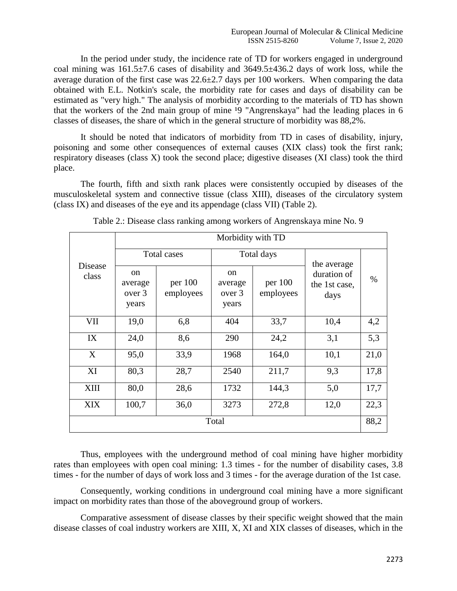In the period under study, the incidence rate of TD for workers engaged in underground coal mining was  $161.5\pm7.6$  cases of disability and  $3649.5\pm436.2$  days of work loss, while the average duration of the first case was  $22.6 \pm 2.7$  days per 100 workers. When comparing the data obtained with E.L. Notkin's scale, the morbidity rate for cases and days of disability can be estimated as "very high." The analysis of morbidity according to the materials of TD has shown that the workers of the 2nd main group of mine <sup>19</sup> "Angrenskaya" had the leading places in 6 classes of diseases, the share of which in the general structure of morbidity was 88,2%.

It should be noted that indicators of morbidity from TD in cases of disability, injury, poisoning and some other consequences of external causes (XIX class) took the first rank; respiratory diseases (class X) took the second place; digestive diseases (XI class) took the third place.

The fourth, fifth and sixth rank places were consistently occupied by diseases of the musculoskeletal system and connective tissue (class XIII), diseases of the circulatory system (class IX) and diseases of the eye and its appendage (class VII) (Table 2).

|                  | Morbidity with TD                           |                      |                                             |                        |                                      |      |  |  |  |
|------------------|---------------------------------------------|----------------------|---------------------------------------------|------------------------|--------------------------------------|------|--|--|--|
| Disease<br>class | Total cases                                 |                      |                                             | Total days             | the average                          |      |  |  |  |
|                  | <sub>on</sub><br>average<br>over 3<br>years | per 100<br>employees | <sub>on</sub><br>average<br>over 3<br>years | per $100$<br>employees | duration of<br>the 1st case,<br>days | $\%$ |  |  |  |
| VII              | 19,0                                        | 6,8                  | 404                                         | 33,7                   | 10,4                                 | 4,2  |  |  |  |
| IX               | 24,0                                        | 8,6                  | 290                                         | 24,2                   | 3,1                                  | 5,3  |  |  |  |
| X                | 95,0                                        | 33,9                 | 1968                                        | 164,0                  | 10,1                                 | 21,0 |  |  |  |
| XI               | 80,3                                        | 28,7                 | 2540                                        | 211,7                  | 9,3                                  | 17,8 |  |  |  |
| XIII             | 80,0                                        | 28,6                 | 1732                                        | 144,3                  | 5,0                                  | 17,7 |  |  |  |
| <b>XIX</b>       | 100,7                                       | 36,0                 | 3273                                        | 272,8                  | 12,0                                 | 22,3 |  |  |  |
| Total            |                                             |                      |                                             |                        |                                      |      |  |  |  |

Thus, employees with the underground method of coal mining have higher morbidity rates than employees with open coal mining: 1.3 times - for the number of disability cases, 3.8 times - for the number of days of work loss and 3 times - for the average duration of the 1st case.

Consequently, working conditions in underground coal mining have a more significant impact on morbidity rates than those of the aboveground group of workers.

Comparative assessment of disease classes by their specific weight showed that the main disease classes of coal industry workers are XIII, X, XI and XIX classes of diseases, which in the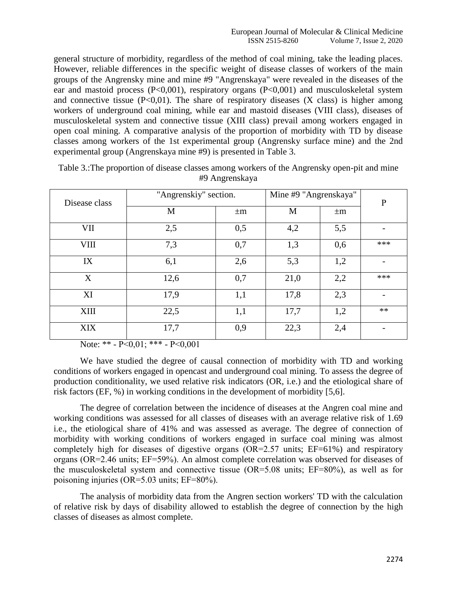general structure of morbidity, regardless of the method of coal mining, take the leading places. However, reliable differences in the specific weight of disease classes of workers of the main groups of the Angrensky mine and mine #9 "Angrenskaya" were revealed in the diseases of the ear and mastoid process (P<0,001), respiratory organs (P<0,001) and musculoskeletal system and connective tissue  $(P<0.01)$ . The share of respiratory diseases  $(X \text{ class})$  is higher among workers of underground coal mining, while ear and mastoid diseases (VIII class), diseases of musculoskeletal system and connective tissue (XIII class) prevail among workers engaged in open coal mining. A comparative analysis of the proportion of morbidity with TD by disease classes among workers of the 1st experimental group (Angrensky surface mine) and the 2nd experimental group (Angrenskaya mine #9) is presented in Table 3.

| Disease class | "Angrenskiy" section. | Mine #9 "Angrenskaya" | P    |         |      |
|---------------|-----------------------|-----------------------|------|---------|------|
|               | M                     | $\pm m$               | M    | $\pm m$ |      |
| VII           | 2,5                   | 0,5                   | 4,2  | 5,5     |      |
| <b>VIII</b>   | 7,3                   | 0,7                   | 1,3  | 0,6     | ***  |
| IX            | 6,1                   | 2,6                   | 5,3  | 1,2     |      |
| X             | 12,6                  | 0,7                   | 21,0 | 2,2     | ***  |
| XI            | 17,9                  | 1,1                   | 17,8 | 2,3     |      |
| <b>XIII</b>   | 22,5                  | 1,1                   | 17,7 | 1,2     | $**$ |
| <b>XIX</b>    | 17,7                  | 0,9                   | 22,3 | 2,4     |      |

Table 3.:The proportion of disease classes among workers of the Angrensky open-pit and mine #9 Angrenskaya

Note: \*\* - Р<0,01; \*\*\* - Р<0,001

We have studied the degree of causal connection of morbidity with TD and working conditions of workers engaged in opencast and underground coal mining. To assess the degree of production conditionality, we used relative risk indicators (OR, i.e.) and the etiological share of risk factors (EF, %) in working conditions in the development of morbidity [5,6].

The degree of correlation between the incidence of diseases at the Angren coal mine and working conditions was assessed for all classes of diseases with an average relative risk of 1.69 i.e., the etiological share of 41% and was assessed as average. The degree of connection of morbidity with working conditions of workers engaged in surface coal mining was almost completely high for diseases of digestive organs (OR=2.57 units; EF=61%) and respiratory organs (ОR=2.46 units; EF=59%). An almost complete correlation was observed for diseases of the musculoskeletal system and connective tissue (ОR=5.08 units; EF=80%), as well as for poisoning injuries (OR=5.03 units; EF=80%).

The analysis of morbidity data from the Angren section workers' TD with the calculation of relative risk by days of disability allowed to establish the degree of connection by the high classes of diseases as almost complete.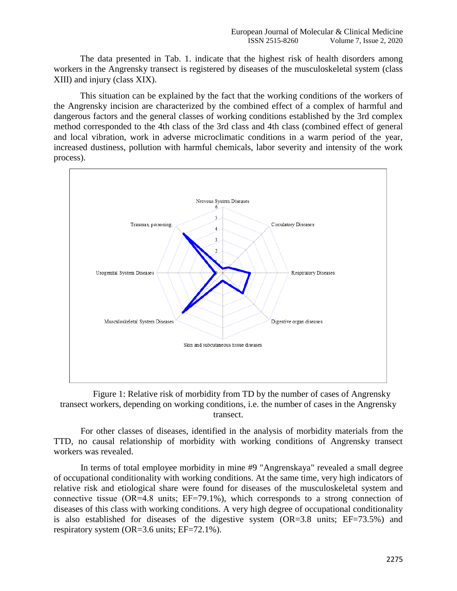The data presented in Tab. 1. indicate that the highest risk of health disorders among workers in the Angrensky transect is registered by diseases of the musculoskeletal system (class XIII) and injury (class XIX).

This situation can be explained by the fact that the working conditions of the workers of the Angrensky incision are characterized by the combined effect of a complex of harmful and dangerous factors and the general classes of working conditions established by the 3rd complex method corresponded to the 4th class of the 3rd class and 4th class (combined effect of general and local vibration, work in adverse microclimatic conditions in a warm period of the year, increased dustiness, pollution with harmful chemicals, labor severity and intensity of the work process).



Figure 1: Relative risk of morbidity from TD by the number of cases of Angrensky transect workers, depending on working conditions, i.e. the number of cases in the Angrensky transect.

For other classes of diseases, identified in the analysis of morbidity materials from the TTD, no causal relationship of morbidity with working conditions of Angrensky transect workers was revealed.

In terms of total employee morbidity in mine #9 "Angrenskaya" revealed a small degree of occupational conditionality with working conditions. At the same time, very high indicators of relative risk and etiological share were found for diseases of the musculoskeletal system and connective tissue (OR=4.8 units; EF=79.1%), which corresponds to a strong connection of diseases of this class with working conditions. A very high degree of occupational conditionality is also established for diseases of the digestive system (OR=3.8 units; EF=73.5%) and respiratory system (OR=3.6 units; EF=72.1%).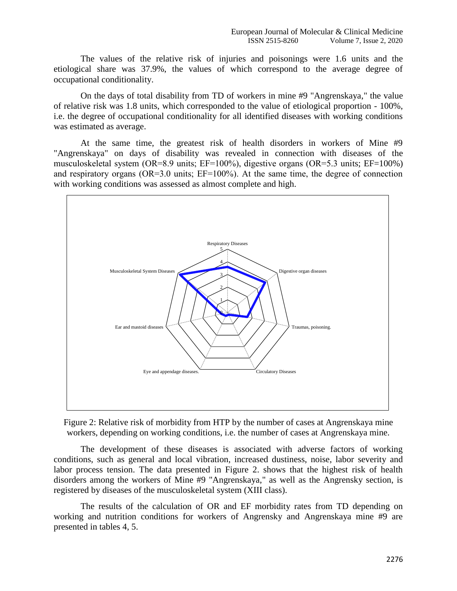The values of the relative risk of injuries and poisonings were 1.6 units and the etiological share was 37.9%, the values of which correspond to the average degree of occupational conditionality.

On the days of total disability from TD of workers in mine #9 "Angrenskaya," the value of relative risk was 1.8 units, which corresponded to the value of etiological proportion - 100%, i.e. the degree of occupational conditionality for all identified diseases with working conditions was estimated as average.

At the same time, the greatest risk of health disorders in workers of Mine #9 "Angrenskaya" on days of disability was revealed in connection with diseases of the musculoskeletal system (OR=8.9 units; EF=100%), digestive organs (OR=5.3 units; EF=100%) and respiratory organs (OR=3.0 units; EF=100%). At the same time, the degree of connection with working conditions was assessed as almost complete and high.



Figure 2: Relative risk of morbidity from HTP by the number of cases at Angrenskaya mine workers, depending on working conditions, i.e. the number of cases at Angrenskaya mine.

The development of these diseases is associated with adverse factors of working conditions, such as general and local vibration, increased dustiness, noise, labor severity and labor process tension. The data presented in Figure 2. shows that the highest risk of health disorders among the workers of Mine #9 "Angrenskaya," as well as the Angrensky section, is registered by diseases of the musculoskeletal system (XIII class).

The results of the calculation of OR and EF morbidity rates from TD depending on working and nutrition conditions for workers of Angrensky and Angrenskaya mine #9 are presented in tables 4, 5.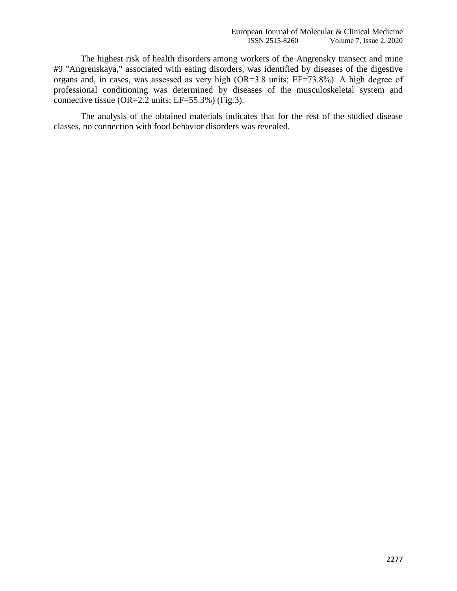The highest risk of health disorders among workers of the Angrensky transect and mine #9 "Angrenskaya," associated with eating disorders, was identified by diseases of the digestive organs and, in cases, was assessed as very high (ОR=3.8 units; EF=73.8%). A high degree of professional conditioning was determined by diseases of the musculoskeletal system and connective tissue (OR=2.2 units; EF=55.3%) (Fig.3).

The analysis of the obtained materials indicates that for the rest of the studied disease classes, no connection with food behavior disorders was revealed.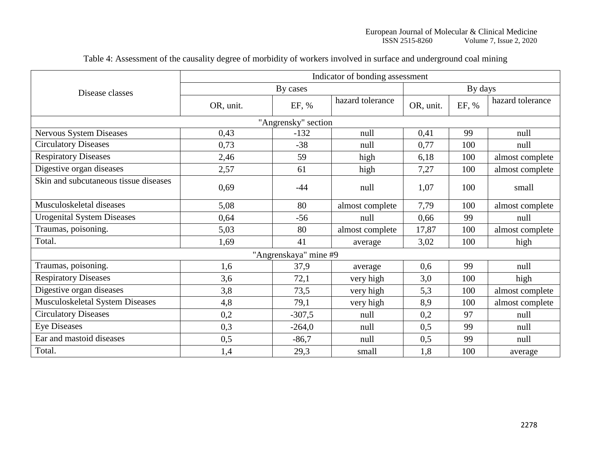|                                       | Indicator of bonding assessment |                       |                  |           |       |                  |  |  |
|---------------------------------------|---------------------------------|-----------------------|------------------|-----------|-------|------------------|--|--|
| Disease classes                       |                                 | By cases              | By days          |           |       |                  |  |  |
|                                       | OR, unit.                       | EF, %                 | hazard tolerance | OR, unit. | EF, % | hazard tolerance |  |  |
|                                       |                                 | "Angrensky" section   |                  |           |       |                  |  |  |
| Nervous System Diseases               | 0,43                            | $-132$                | null             | 0,41      | 99    | null             |  |  |
| <b>Circulatory Diseases</b>           | 0,73                            | $-38$                 | null             | 0,77      | 100   | null             |  |  |
| <b>Respiratory Diseases</b>           | 2,46                            | 59                    | high             | 6,18      | 100   | almost complete  |  |  |
| Digestive organ diseases              | 2,57                            | 61                    | high             | 7,27      | 100   | almost complete  |  |  |
| Skin and subcutaneous tissue diseases | 0,69                            | $-44$                 | null             | 1,07      | 100   | small            |  |  |
| Musculoskeletal diseases              | 5,08                            | 80                    | almost complete  | 7,79      | 100   | almost complete  |  |  |
| <b>Urogenital System Diseases</b>     | 0,64                            | $-56$                 | null             | 0,66      | 99    | null             |  |  |
| Traumas, poisoning.                   | 5,03                            | 80                    | almost complete  | 17,87     | 100   | almost complete  |  |  |
| Total.                                | 1,69                            | 41                    | average          | 3,02      | 100   | high             |  |  |
|                                       |                                 | "Angrenskaya" mine #9 |                  |           |       |                  |  |  |
| Traumas, poisoning.                   | 1,6                             | 37,9                  | average          | 0,6       | 99    | null             |  |  |
| <b>Respiratory Diseases</b>           | 3,6                             | 72,1                  | very high        | 3,0       | 100   | high             |  |  |
| Digestive organ diseases              | 3,8                             | 73,5                  | very high        | 5,3       | 100   | almost complete  |  |  |
| Musculoskeletal System Diseases       | 4,8                             | 79,1                  | very high        | 8,9       | 100   | almost complete  |  |  |
| <b>Circulatory Diseases</b>           | 0,2                             | $-307,5$              | null             | 0,2       | 97    | null             |  |  |
| <b>Eye Diseases</b>                   | 0,3                             | $-264,0$              | null             | 0,5       | 99    | null             |  |  |
| Ear and mastoid diseases              | 0,5                             | $-86,7$               | null             | 0,5       | 99    | null             |  |  |
| Total.                                | 1,4                             | 29,3                  | small            | 1,8       | 100   | average          |  |  |

Table 4: Assessment of the causality degree of morbidity of workers involved in surface and underground coal mining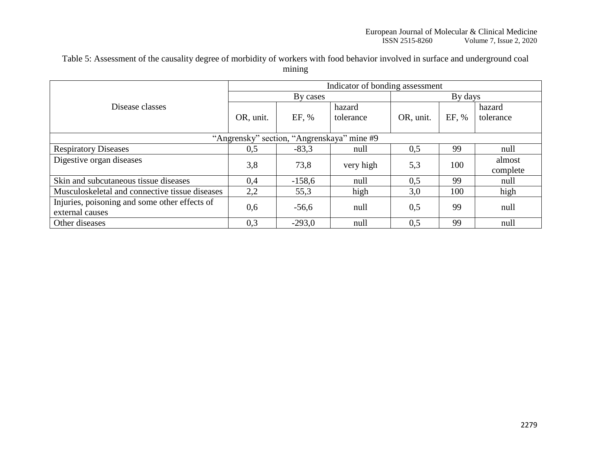Table 5: Assessment of the causality degree of morbidity of workers with food behavior involved in surface and underground coal mining

|                                                                  | Indicator of bonding assessment |          |                     |           |       |                     |  |  |
|------------------------------------------------------------------|---------------------------------|----------|---------------------|-----------|-------|---------------------|--|--|
|                                                                  |                                 |          | By days             |           |       |                     |  |  |
| Disease classes                                                  | OR, unit.                       | EF, %    | hazard<br>tolerance | OR, unit. | EF, % | hazard<br>tolerance |  |  |
| "Angrensky" section, "Angrenskaya" mine #9                       |                                 |          |                     |           |       |                     |  |  |
| <b>Respiratory Diseases</b>                                      | 0,5                             | $-83,3$  | null                | 0,5       | 99    | null                |  |  |
| Digestive organ diseases                                         | 3,8                             | 73,8     | very high           | 5,3       | 100   | almost<br>complete  |  |  |
| Skin and subcutaneous tissue diseases                            | 0,4                             | $-158,6$ | null                | 0,5       | 99    | null                |  |  |
| Musculoskeletal and connective tissue diseases                   | 2,2                             | 55,3     | high                | 3,0       | 100   | high                |  |  |
| Injuries, poisoning and some other effects of<br>external causes | 0,6                             | $-56,6$  | null                | 0,5       | 99    | null                |  |  |
| Other diseases                                                   | 0,3                             | $-293.0$ | null                | 0,5       | 99    | null                |  |  |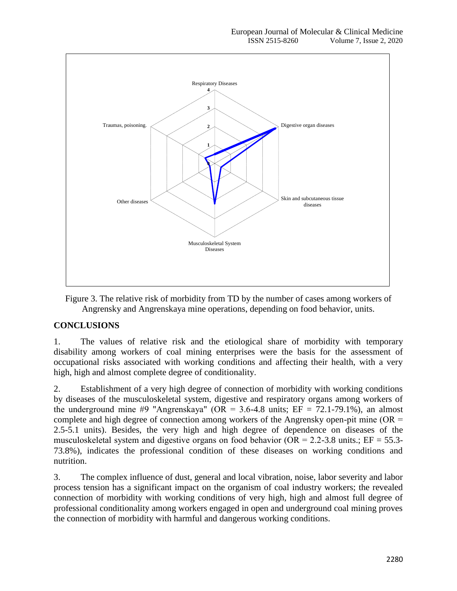

Figure 3. The relative risk of morbidity from TD by the number of cases among workers of Angrensky and Angrenskaya mine operations, depending on food behavior, units.

## **CONCLUSIONS**

1. The values of relative risk and the etiological share of morbidity with temporary disability among workers of coal mining enterprises were the basis for the assessment of occupational risks associated with working conditions and affecting their health, with a very high, high and almost complete degree of conditionality.

2. Establishment of a very high degree of connection of morbidity with working conditions by diseases of the musculoskeletal system, digestive and respiratory organs among workers of the underground mine #9 "Angrenskaya" (OR = 3.6-4.8 units; EF = 72.1-79.1%), an almost complete and high degree of connection among workers of the Angrensky open-pit mine ( $OR =$ 2.5-5.1 units). Besides, the very high and high degree of dependence on diseases of the musculoskeletal system and digestive organs on food behavior ( $OR = 2.2-3.8$  units.;  $EF = 55.3-$ 73.8%), indicates the professional condition of these diseases on working conditions and nutrition.

3. The complex influence of dust, general and local vibration, noise, labor severity and labor process tension has a significant impact on the organism of coal industry workers; the revealed connection of morbidity with working conditions of very high, high and almost full degree of professional conditionality among workers engaged in open and underground coal mining proves the connection of morbidity with harmful and dangerous working conditions.